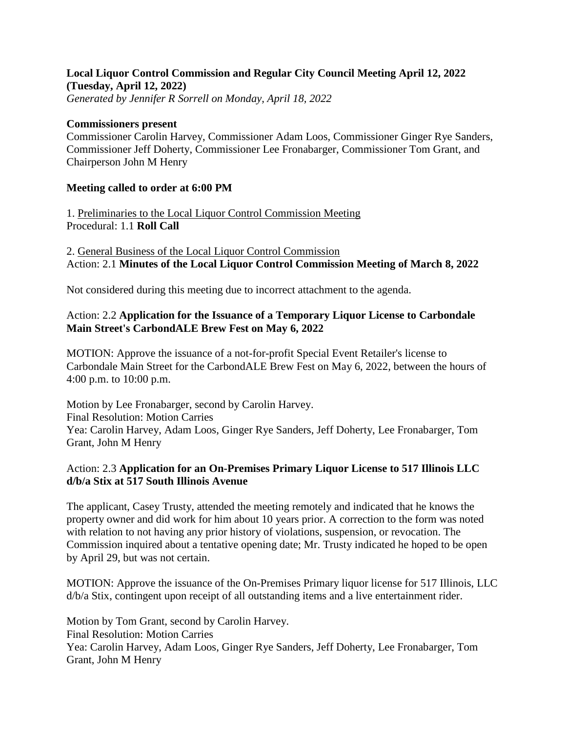# **Local Liquor Control Commission and Regular City Council Meeting April 12, 2022 (Tuesday, April 12, 2022)**

*Generated by Jennifer R Sorrell on Monday, April 18, 2022*

#### **Commissioners present**

Commissioner Carolin Harvey, Commissioner Adam Loos, Commissioner Ginger Rye Sanders, Commissioner Jeff Doherty, Commissioner Lee Fronabarger, Commissioner Tom Grant, and Chairperson John M Henry

#### **Meeting called to order at 6:00 PM**

1. Preliminaries to the Local Liquor Control Commission Meeting Procedural: 1.1 **Roll Call**

2. General Business of the Local Liquor Control Commission Action: 2.1 **Minutes of the Local Liquor Control Commission Meeting of March 8, 2022**

Not considered during this meeting due to incorrect attachment to the agenda.

### Action: 2.2 **Application for the Issuance of a Temporary Liquor License to Carbondale Main Street's CarbondALE Brew Fest on May 6, 2022**

MOTION: Approve the issuance of a not-for-profit Special Event Retailer's license to Carbondale Main Street for the CarbondALE Brew Fest on May 6, 2022, between the hours of 4:00 p.m. to 10:00 p.m.

Motion by Lee Fronabarger, second by Carolin Harvey. Final Resolution: Motion Carries Yea: Carolin Harvey, Adam Loos, Ginger Rye Sanders, Jeff Doherty, Lee Fronabarger, Tom Grant, John M Henry

### Action: 2.3 **Application for an On-Premises Primary Liquor License to 517 Illinois LLC d/b/a Stix at 517 South Illinois Avenue**

The applicant, Casey Trusty, attended the meeting remotely and indicated that he knows the property owner and did work for him about 10 years prior. A correction to the form was noted with relation to not having any prior history of violations, suspension, or revocation. The Commission inquired about a tentative opening date; Mr. Trusty indicated he hoped to be open by April 29, but was not certain.

MOTION: Approve the issuance of the On-Premises Primary liquor license for 517 Illinois, LLC d/b/a Stix, contingent upon receipt of all outstanding items and a live entertainment rider.

Motion by Tom Grant, second by Carolin Harvey. Final Resolution: Motion Carries Yea: Carolin Harvey, Adam Loos, Ginger Rye Sanders, Jeff Doherty, Lee Fronabarger, Tom Grant, John M Henry